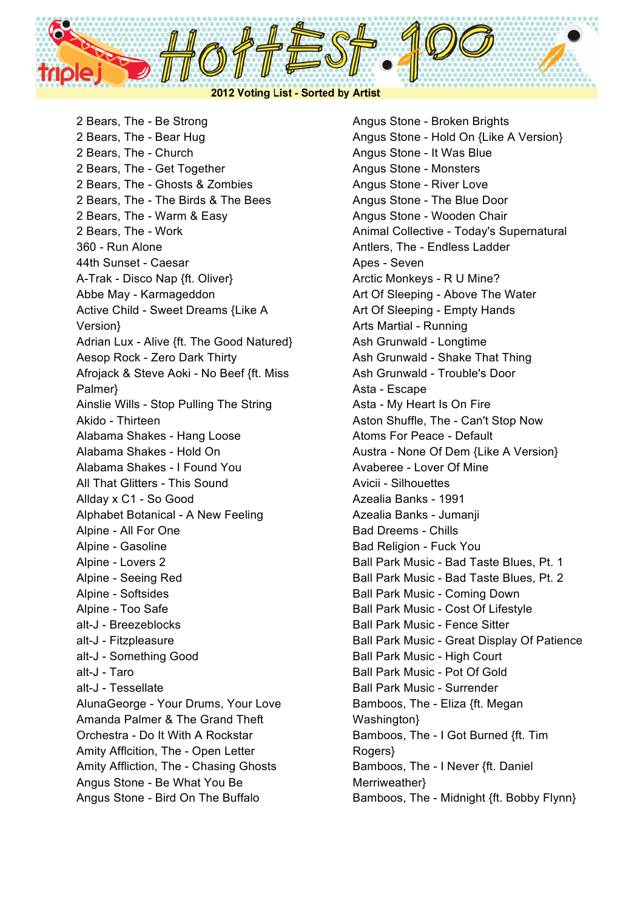

2 Bears, The - Be Strong 2 Bears, The - Bear Hug 2 Bears, The - Church 2 Bears, The - Get Together 2 Bears, The - Ghosts & Zombies 2 Bears, The - The Birds & The Bees 2 Bears, The - Warm & Easy 2 Bears, The - Work 360 - Run Alone 44th Sunset - Caesar A-Trak - Disco Nap {ft. Oliver} Abbe May - Karmageddon Active Child - Sweet Dreams {Like A Version} Adrian Lux - Alive {ft. The Good Natured} Aesop Rock - Zero Dark Thirty Afrojack & Steve Aoki - No Beef {ft. Miss Palmer} Ainslie Wills - Stop Pulling The String Akido - Thirteen Alabama Shakes - Hang Loose Alabama Shakes - Hold On Alabama Shakes - I Found You All That Glitters - This Sound Allday x C1 - So Good Alphabet Botanical - A New Feeling Alpine - All For One Alpine - Gasoline Alpine - Lovers 2 Alpine - Seeing Red Alpine - Softsides Alpine - Too Safe alt-J - Breezeblocks alt-J - Fitzpleasure alt-J - Something Good alt-J - Taro alt-J - Tessellate AlunaGeorge - Your Drums, Your Love Amanda Palmer & The Grand Theft Orchestra - Do It With A Rockstar Amity Afflcition, The - Open Letter Amity Affliction, The - Chasing Ghosts Angus Stone - Be What You Be Angus Stone - Bird On The Buffalo

Angus Stone - Broken Brights Angus Stone - Hold On {Like A Version} Angus Stone - It Was Blue Angus Stone - Monsters Angus Stone - River Love Angus Stone - The Blue Door Angus Stone - Wooden Chair Animal Collective - Today's Supernatural Antlers, The - Endless Ladder Apes - Seven Arctic Monkeys - R U Mine? Art Of Sleeping - Above The Water Art Of Sleeping - Empty Hands Arts Martial - Running Ash Grunwald - Longtime Ash Grunwald - Shake That Thing Ash Grunwald - Trouble's Door Asta - Escape Asta - My Heart Is On Fire Aston Shuffle, The - Can't Stop Now Atoms For Peace - Default Austra - None Of Dem {Like A Version} Avaberee - Lover Of Mine Avicii - Silhouettes Azealia Banks - 1991 Azealia Banks - Jumanji Bad Dreems - Chills Bad Religion - Fuck You Ball Park Music - Bad Taste Blues, Pt. 1 Ball Park Music - Bad Taste Blues, Pt. 2 Ball Park Music - Coming Down Ball Park Music - Cost Of Lifestyle Ball Park Music - Fence Sitter Ball Park Music - Great Display Of Patience Ball Park Music - High Court Ball Park Music - Pot Of Gold Ball Park Music - Surrender Bamboos, The - Eliza {ft. Megan Washington} Bamboos, The - I Got Burned {ft. Tim Rogers} Bamboos, The - I Never {ft. Daniel Merriweather} Bamboos, The - Midnight {ft. Bobby Flynn}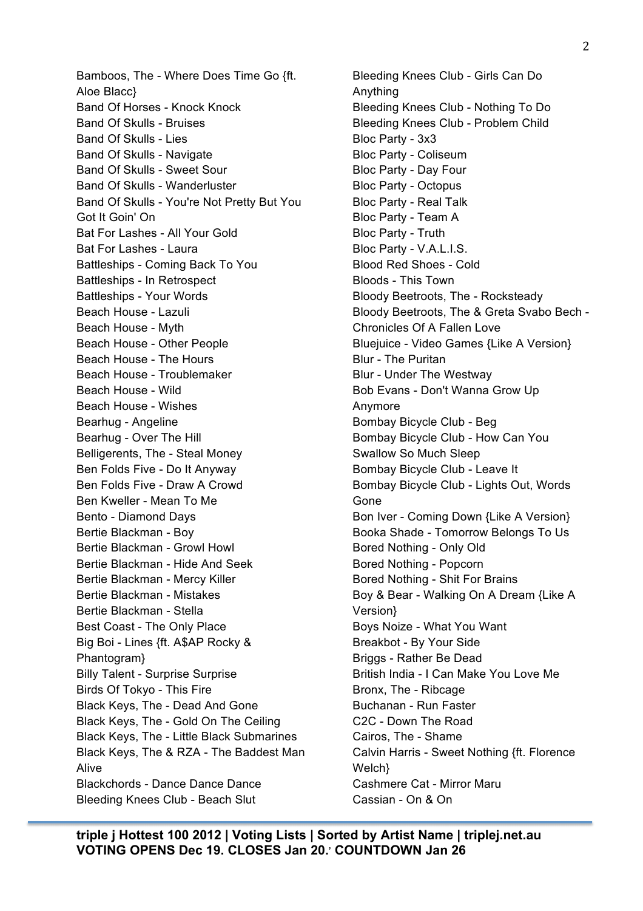Bamboos, The - Where Does Time Go {ft. Aloe Blacc} Band Of Horses - Knock Knock Band Of Skulls - Bruises Band Of Skulls - Lies Band Of Skulls - Navigate Band Of Skulls - Sweet Sour Band Of Skulls - Wanderluster Band Of Skulls - You're Not Pretty But You Got It Goin' On Bat For Lashes - All Your Gold Bat For Lashes - Laura Battleships - Coming Back To You Battleships - In Retrospect Battleships - Your Words Beach House - Lazuli Beach House - Myth Beach House - Other People Beach House - The Hours Beach House - Troublemaker Beach House - Wild Beach House - Wishes Bearhug - Angeline Bearhug - Over The Hill Belligerents, The - Steal Money Ben Folds Five - Do It Anyway Ben Folds Five - Draw A Crowd Ben Kweller - Mean To Me Bento - Diamond Days Bertie Blackman - Boy Bertie Blackman - Growl Howl Bertie Blackman - Hide And Seek Bertie Blackman - Mercy Killer Bertie Blackman - Mistakes Bertie Blackman - Stella Best Coast - The Only Place Big Boi - Lines {ft. A\$AP Rocky & Phantogram} Billy Talent - Surprise Surprise Birds Of Tokyo - This Fire Black Keys, The - Dead And Gone Black Keys, The - Gold On The Ceiling Black Keys, The - Little Black Submarines Black Keys, The & RZA - The Baddest Man Alive Blackchords - Dance Dance Dance Bleeding Knees Club - Beach Slut

Bleeding Knees Club - Girls Can Do Anything Bleeding Knees Club - Nothing To Do Bleeding Knees Club - Problem Child Bloc Party - 3x3 Bloc Party - Coliseum Bloc Party - Day Four Bloc Party - Octopus Bloc Party - Real Talk Bloc Party - Team A Bloc Party - Truth Bloc Party - V.A.L.I.S. Blood Red Shoes - Cold Bloods - This Town Bloody Beetroots, The - Rocksteady Bloody Beetroots, The & Greta Svabo Bech - Chronicles Of A Fallen Love Bluejuice - Video Games {Like A Version} Blur - The Puritan Blur - Under The Westway Bob Evans - Don't Wanna Grow Up Anymore Bombay Bicycle Club - Beg Bombay Bicycle Club - How Can You Swallow So Much Sleep Bombay Bicycle Club - Leave It Bombay Bicycle Club - Lights Out, Words Gone Bon Iver - Coming Down {Like A Version} Booka Shade - Tomorrow Belongs To Us Bored Nothing - Only Old Bored Nothing - Popcorn Bored Nothing - Shit For Brains Boy & Bear - Walking On A Dream {Like A Version} Boys Noize - What You Want Breakbot - By Your Side Briggs - Rather Be Dead British India - I Can Make You Love Me Bronx, The - Ribcage Buchanan - Run Faster C2C - Down The Road Cairos, The - Shame Calvin Harris - Sweet Nothing {ft. Florence Welch} Cashmere Cat - Mirror Maru Cassian - On & On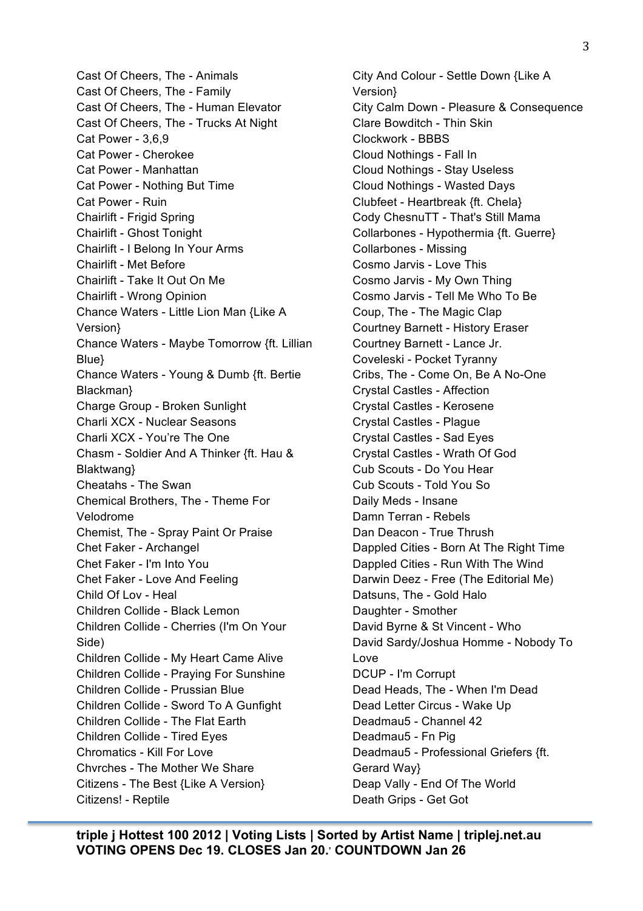Cast Of Cheers, The - Animals Cast Of Cheers, The - Family Cast Of Cheers, The - Human Elevator Cast Of Cheers, The - Trucks At Night Cat Power - 3,6,9 Cat Power - Cherokee Cat Power - Manhattan Cat Power - Nothing But Time Cat Power - Ruin Chairlift - Frigid Spring Chairlift - Ghost Tonight Chairlift - I Belong In Your Arms Chairlift - Met Before Chairlift - Take It Out On Me Chairlift - Wrong Opinion Chance Waters - Little Lion Man {Like A Version} Chance Waters - Maybe Tomorrow {ft. Lillian Blue} Chance Waters - Young & Dumb {ft. Bertie Blackman} Charge Group - Broken Sunlight Charli XCX - Nuclear Seasons Charli XCX - You're The One Chasm - Soldier And A Thinker {ft. Hau & Blaktwang} Cheatahs - The Swan Chemical Brothers, The - Theme For Velodrome Chemist, The - Spray Paint Or Praise Chet Faker - Archangel Chet Faker - I'm Into You Chet Faker - Love And Feeling Child Of Lov - Heal Children Collide - Black Lemon Children Collide - Cherries (I'm On Your Side) Children Collide - My Heart Came Alive Children Collide - Praying For Sunshine Children Collide - Prussian Blue Children Collide - Sword To A Gunfight Children Collide - The Flat Earth Children Collide - Tired Eyes Chromatics - Kill For Love Chvrches - The Mother We Share Citizens - The Best {Like A Version} Citizens! - Reptile

City And Colour - Settle Down {Like A Version} City Calm Down - Pleasure & Consequence Clare Bowditch - Thin Skin Clockwork - BBBS Cloud Nothings - Fall In Cloud Nothings - Stay Useless Cloud Nothings - Wasted Days Clubfeet - Heartbreak {ft. Chela} Cody ChesnuTT - That's Still Mama Collarbones - Hypothermia {ft. Guerre} Collarbones - Missing Cosmo Jarvis - Love This Cosmo Jarvis - My Own Thing Cosmo Jarvis - Tell Me Who To Be Coup, The - The Magic Clap Courtney Barnett - History Eraser Courtney Barnett - Lance Jr. Coveleski - Pocket Tyranny Cribs, The - Come On, Be A No-One Crystal Castles - Affection Crystal Castles - Kerosene Crystal Castles - Plague Crystal Castles - Sad Eyes Crystal Castles - Wrath Of God Cub Scouts - Do You Hear Cub Scouts - Told You So Daily Meds - Insane Damn Terran - Rebels Dan Deacon - True Thrush Dappled Cities - Born At The Right Time Dappled Cities - Run With The Wind Darwin Deez - Free (The Editorial Me) Datsuns, The - Gold Halo Daughter - Smother David Byrne & St Vincent - Who David Sardy/Joshua Homme - Nobody To Love DCUP - I'm Corrupt Dead Heads, The - When I'm Dead Dead Letter Circus - Wake Up Deadmau5 - Channel 42 Deadmau5 - Fn Pig Deadmau5 - Professional Griefers {ft. Gerard Way} Deap Vally - End Of The World Death Grips - Get Got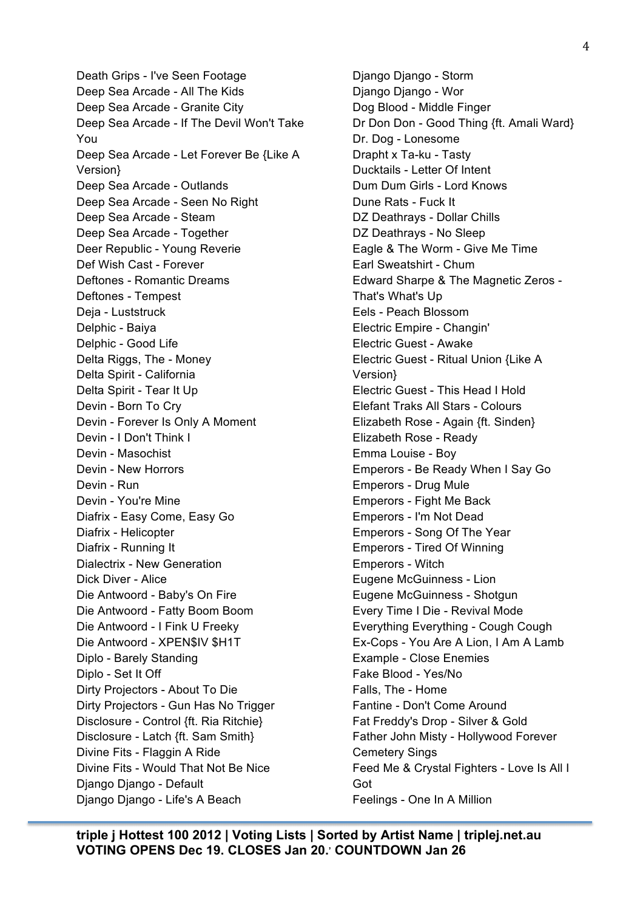Death Grips - I've Seen Footage Deep Sea Arcade - All The Kids Deep Sea Arcade - Granite City Deep Sea Arcade - If The Devil Won't Take You Deep Sea Arcade - Let Forever Be {Like A Version} Deep Sea Arcade - Outlands Deep Sea Arcade - Seen No Right Deep Sea Arcade - Steam Deep Sea Arcade - Together Deer Republic - Young Reverie Def Wish Cast - Forever Deftones - Romantic Dreams Deftones - Tempest Deja - Luststruck Delphic - Baiya Delphic - Good Life Delta Riggs, The - Money Delta Spirit - California Delta Spirit - Tear It Up Devin - Born To Cry Devin - Forever Is Only A Moment Devin - I Don't Think I Devin - Masochist Devin - New Horrors Devin - Run Devin - You're Mine Diafrix - Easy Come, Easy Go Diafrix - Helicopter Diafrix - Running It Dialectrix - New Generation Dick Diver - Alice Die Antwoord - Baby's On Fire Die Antwoord - Fatty Boom Boom Die Antwoord - I Fink U Freeky Die Antwoord - XPEN\$IV \$H1T Diplo - Barely Standing Diplo - Set It Off Dirty Projectors - About To Die Dirty Projectors - Gun Has No Trigger Disclosure - Control {ft. Ria Ritchie} Disclosure - Latch {ft. Sam Smith} Divine Fits - Flaggin A Ride Divine Fits - Would That Not Be Nice Django Django - Default Django Django - Life's A Beach

Django Django - Storm Django Django - Wor Dog Blood - Middle Finger Dr Don Don - Good Thing {ft. Amali Ward} Dr. Dog - Lonesome Drapht x Ta-ku - Tasty Ducktails - Letter Of Intent Dum Dum Girls - Lord Knows Dune Rats - Fuck It DZ Deathrays - Dollar Chills DZ Deathrays - No Sleep Eagle & The Worm - Give Me Time Earl Sweatshirt - Chum Edward Sharpe & The Magnetic Zeros - That's What's Up Eels - Peach Blossom Electric Empire - Changin' Electric Guest - Awake Electric Guest - Ritual Union {Like A Version} Electric Guest - This Head I Hold Elefant Traks All Stars - Colours Elizabeth Rose - Again {ft. Sinden} Elizabeth Rose - Ready Emma Louise - Boy Emperors - Be Ready When I Say Go Emperors - Drug Mule Emperors - Fight Me Back Emperors - I'm Not Dead Emperors - Song Of The Year Emperors - Tired Of Winning Emperors - Witch Eugene McGuinness - Lion Eugene McGuinness - Shotgun Every Time I Die - Revival Mode Everything Everything - Cough Cough Ex-Cops - You Are A Lion, I Am A Lamb Example - Close Enemies Fake Blood - Yes/No Falls, The - Home Fantine - Don't Come Around Fat Freddy's Drop - Silver & Gold Father John Misty - Hollywood Forever Cemetery Sings Feed Me & Crystal Fighters - Love Is All I Got Feelings - One In A Million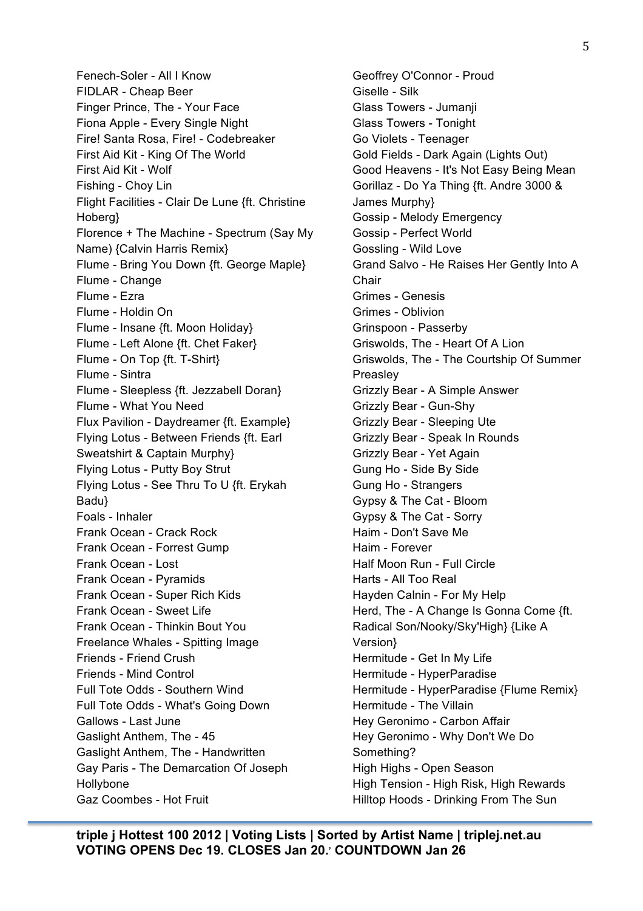Fenech-Soler - All I Know FIDLAR - Cheap Beer Finger Prince, The - Your Face Fiona Apple - Every Single Night Fire! Santa Rosa, Fire! - Codebreaker First Aid Kit - King Of The World First Aid Kit - Wolf Fishing - Choy Lin Flight Facilities - Clair De Lune {ft. Christine Hoberg} Florence + The Machine - Spectrum (Say My Name) {Calvin Harris Remix} Flume - Bring You Down {ft. George Maple} Flume - Change Flume - Ezra Flume - Holdin On Flume - Insane {ft. Moon Holiday} Flume - Left Alone {ft. Chet Faker} Flume - On Top {ft. T-Shirt} Flume - Sintra Flume - Sleepless {ft. Jezzabell Doran} Flume - What You Need Flux Pavilion - Daydreamer {ft. Example} Flying Lotus - Between Friends {ft. Earl Sweatshirt & Captain Murphy} Flying Lotus - Putty Boy Strut Flying Lotus - See Thru To U {ft. Erykah Badu} Foals - Inhaler Frank Ocean - Crack Rock Frank Ocean - Forrest Gump Frank Ocean - Lost Frank Ocean - Pyramids Frank Ocean - Super Rich Kids Frank Ocean - Sweet Life Frank Ocean - Thinkin Bout You Freelance Whales - Spitting Image Friends - Friend Crush Friends - Mind Control Full Tote Odds - Southern Wind Full Tote Odds - What's Going Down Gallows - Last June Gaslight Anthem, The - 45 Gaslight Anthem, The - Handwritten Gay Paris - The Demarcation Of Joseph Hollybone Gaz Coombes - Hot Fruit

Geoffrey O'Connor - Proud Giselle - Silk Glass Towers - Jumanji Glass Towers - Tonight Go Violets - Teenager Gold Fields - Dark Again (Lights Out) Good Heavens - It's Not Easy Being Mean Gorillaz - Do Ya Thing {ft. Andre 3000 & James Murphy} Gossip - Melody Emergency Gossip - Perfect World Gossling - Wild Love Grand Salvo - He Raises Her Gently Into A Chair Grimes - Genesis Grimes - Oblivion Grinspoon - Passerby Griswolds, The - Heart Of A Lion Griswolds, The - The Courtship Of Summer Preasley Grizzly Bear - A Simple Answer Grizzly Bear - Gun-Shy Grizzly Bear - Sleeping Ute Grizzly Bear - Speak In Rounds Grizzly Bear - Yet Again Gung Ho - Side By Side Gung Ho - Strangers Gypsy & The Cat - Bloom Gypsy & The Cat - Sorry Haim - Don't Save Me Haim - Forever Half Moon Run - Full Circle Harts - All Too Real Hayden Calnin - For My Help Herd, The - A Change Is Gonna Come {ft. Radical Son/Nooky/Sky'High} {Like A Version} Hermitude - Get In My Life Hermitude - HyperParadise Hermitude - HyperParadise {Flume Remix} Hermitude - The Villain Hey Geronimo - Carbon Affair Hey Geronimo - Why Don't We Do Something? High Highs - Open Season High Tension - High Risk, High Rewards Hilltop Hoods - Drinking From The Sun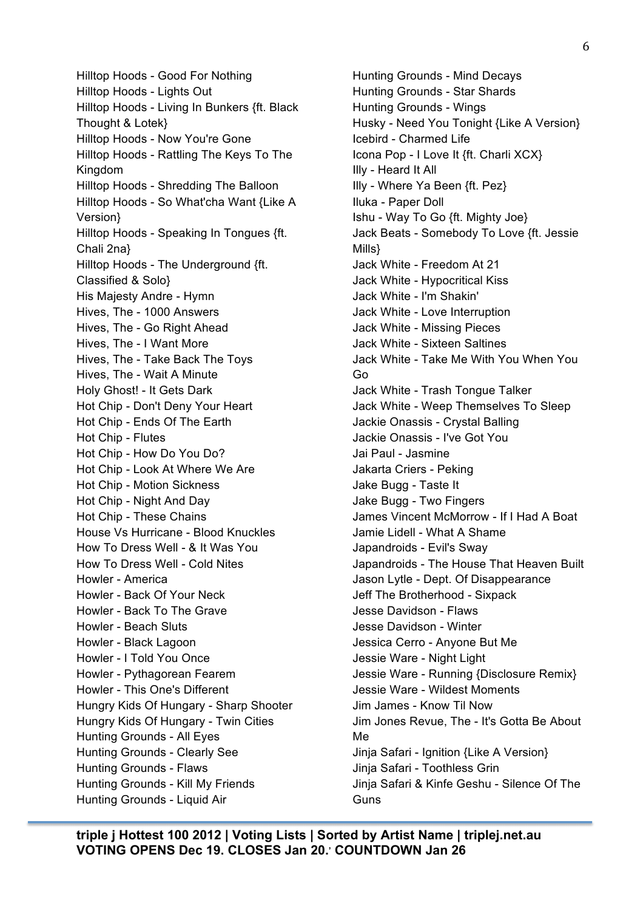Hilltop Hoods - Good For Nothing Hilltop Hoods - Lights Out Hilltop Hoods - Living In Bunkers {ft. Black Thought & Lotek} Hilltop Hoods - Now You're Gone Hilltop Hoods - Rattling The Keys To The Kingdom Hilltop Hoods - Shredding The Balloon Hilltop Hoods - So What'cha Want {Like A Version} Hilltop Hoods - Speaking In Tongues {ft. Chali 2na} Hilltop Hoods - The Underground {ft. Classified & Solo} His Majesty Andre - Hymn Hives, The - 1000 Answers Hives, The - Go Right Ahead Hives, The - I Want More Hives, The - Take Back The Toys Hives, The - Wait A Minute Holy Ghost! - It Gets Dark Hot Chip - Don't Deny Your Heart Hot Chip - Ends Of The Earth Hot Chip - Flutes Hot Chip - How Do You Do? Hot Chip - Look At Where We Are Hot Chip - Motion Sickness Hot Chip - Night And Day Hot Chip - These Chains House Vs Hurricane - Blood Knuckles How To Dress Well - & It Was You How To Dress Well - Cold Nites Howler - America Howler - Back Of Your Neck Howler - Back To The Grave Howler - Beach Sluts Howler - Black Lagoon Howler - I Told You Once Howler - Pythagorean Fearem Howler - This One's Different Hungry Kids Of Hungary - Sharp Shooter Hungry Kids Of Hungary - Twin Cities Hunting Grounds - All Eyes Hunting Grounds - Clearly See Hunting Grounds - Flaws Hunting Grounds - Kill My Friends Hunting Grounds - Liquid Air

Hunting Grounds - Mind Decays Hunting Grounds - Star Shards Hunting Grounds - Wings Husky - Need You Tonight {Like A Version} Icebird - Charmed Life Icona Pop - I Love It {ft. Charli XCX} Illy - Heard It All Illy - Where Ya Been {ft. Pez} Iluka - Paper Doll Ishu - Way To Go {ft. Mighty Joe} Jack Beats - Somebody To Love {ft. Jessie Mills} Jack White - Freedom At 21 Jack White - Hypocritical Kiss Jack White - I'm Shakin' Jack White - Love Interruption Jack White - Missing Pieces Jack White - Sixteen Saltines Jack White - Take Me With You When You Go Jack White - Trash Tongue Talker Jack White - Weep Themselves To Sleep Jackie Onassis - Crystal Balling Jackie Onassis - I've Got You Jai Paul - Jasmine Jakarta Criers - Peking Jake Bugg - Taste It Jake Bugg - Two Fingers James Vincent McMorrow - If I Had A Boat Jamie Lidell - What A Shame Japandroids - Evil's Sway Japandroids - The House That Heaven Built Jason Lytle - Dept. Of Disappearance Jeff The Brotherhood - Sixpack Jesse Davidson - Flaws Jesse Davidson - Winter Jessica Cerro - Anyone But Me Jessie Ware - Night Light Jessie Ware - Running {Disclosure Remix} Jessie Ware - Wildest Moments Jim James - Know Til Now Jim Jones Revue, The - It's Gotta Be About Me Jinja Safari - Ignition {Like A Version} Jinja Safari - Toothless Grin Jinja Safari & Kinfe Geshu - Silence Of The **Guns**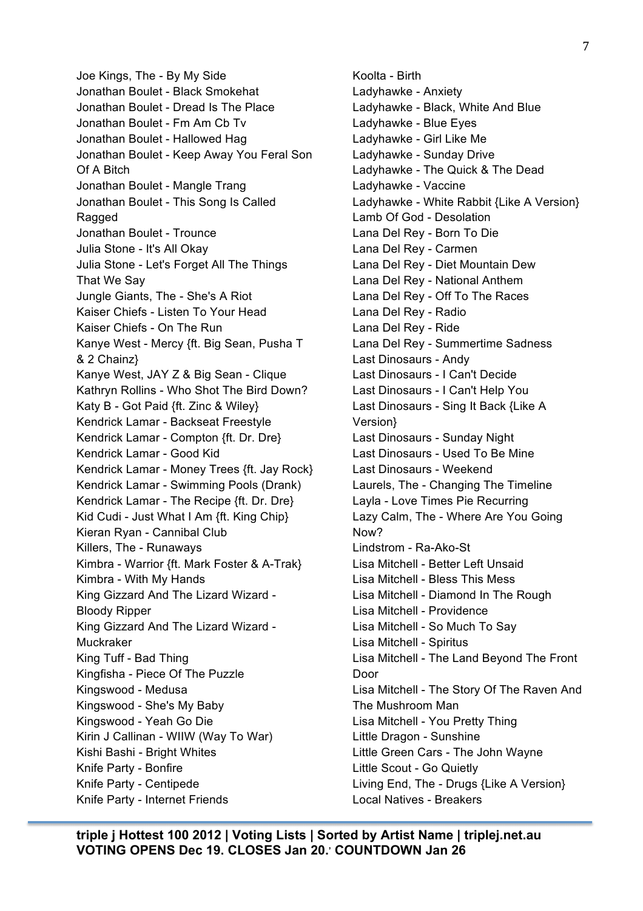Joe Kings, The - By My Side Jonathan Boulet - Black Smokehat Jonathan Boulet - Dread Is The Place Jonathan Boulet - Fm Am Cb Tv Jonathan Boulet - Hallowed Hag Jonathan Boulet - Keep Away You Feral Son Of A Bitch Jonathan Boulet - Mangle Trang Jonathan Boulet - This Song Is Called Ragged Jonathan Boulet - Trounce Julia Stone - It's All Okay Julia Stone - Let's Forget All The Things That We Say Jungle Giants, The - She's A Riot Kaiser Chiefs - Listen To Your Head Kaiser Chiefs - On The Run Kanye West - Mercy {ft. Big Sean, Pusha T & 2 Chainz} Kanye West, JAY Z & Big Sean - Clique Kathryn Rollins - Who Shot The Bird Down? Katy B - Got Paid {ft. Zinc & Wiley} Kendrick Lamar - Backseat Freestyle Kendrick Lamar - Compton {ft. Dr. Dre} Kendrick Lamar - Good Kid Kendrick Lamar - Money Trees {ft. Jay Rock} Kendrick Lamar - Swimming Pools (Drank) Kendrick Lamar - The Recipe {ft. Dr. Dre} Kid Cudi - Just What I Am {ft. King Chip} Kieran Ryan - Cannibal Club Killers, The - Runaways Kimbra - Warrior {ft. Mark Foster & A-Trak} Kimbra - With My Hands King Gizzard And The Lizard Wizard - Bloody Ripper King Gizzard And The Lizard Wizard - Muckraker King Tuff - Bad Thing Kingfisha - Piece Of The Puzzle Kingswood - Medusa Kingswood - She's My Baby Kingswood - Yeah Go Die Kirin J Callinan - WIIW (Way To War) Kishi Bashi - Bright Whites Knife Party - Bonfire Knife Party - Centipede Knife Party - Internet Friends

Koolta - Birth Ladyhawke - Anxiety Ladyhawke - Black, White And Blue Ladyhawke - Blue Eyes Ladyhawke - Girl Like Me Ladyhawke - Sunday Drive Ladyhawke - The Quick & The Dead Ladyhawke - Vaccine Ladyhawke - White Rabbit {Like A Version} Lamb Of God - Desolation Lana Del Rey - Born To Die Lana Del Rey - Carmen Lana Del Rey - Diet Mountain Dew Lana Del Rey - National Anthem Lana Del Rey - Off To The Races Lana Del Rey - Radio Lana Del Rey - Ride Lana Del Rey - Summertime Sadness Last Dinosaurs - Andy Last Dinosaurs - I Can't Decide Last Dinosaurs - I Can't Help You Last Dinosaurs - Sing It Back {Like A Version} Last Dinosaurs - Sunday Night Last Dinosaurs - Used To Be Mine Last Dinosaurs - Weekend Laurels, The - Changing The Timeline Layla - Love Times Pie Recurring Lazy Calm, The - Where Are You Going Now? Lindstrom - Ra-Ako-St Lisa Mitchell - Better Left Unsaid Lisa Mitchell - Bless This Mess Lisa Mitchell - Diamond In The Rough Lisa Mitchell - Providence Lisa Mitchell - So Much To Say Lisa Mitchell - Spiritus Lisa Mitchell - The Land Beyond The Front Door Lisa Mitchell - The Story Of The Raven And The Mushroom Man Lisa Mitchell - You Pretty Thing Little Dragon - Sunshine Little Green Cars - The John Wayne Little Scout - Go Quietly Living End, The - Drugs {Like A Version} Local Natives - Breakers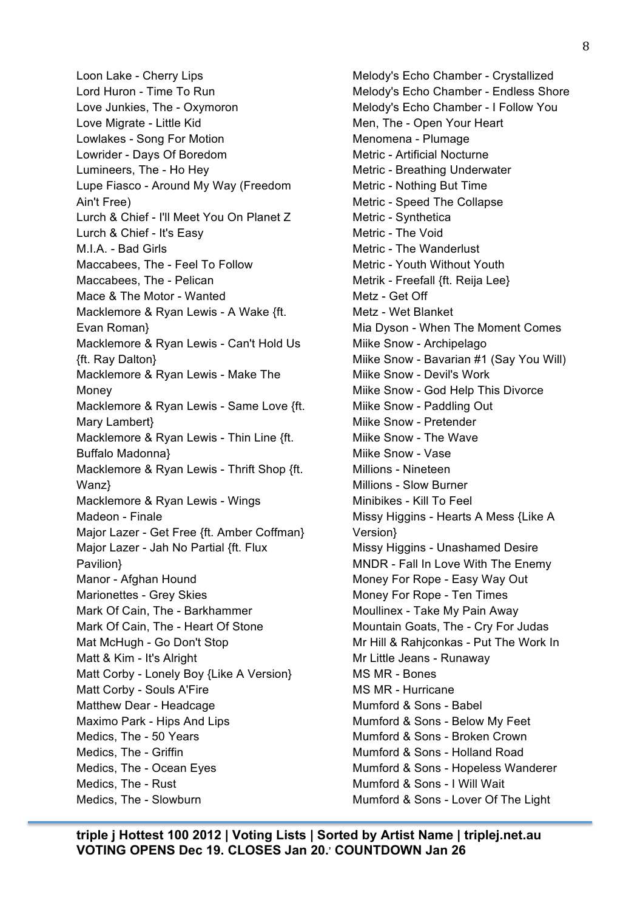Loon Lake - Cherry Lips Lord Huron - Time To Run Love Junkies, The - Oxymoron Love Migrate - Little Kid Lowlakes - Song For Motion Lowrider - Days Of Boredom Lumineers, The - Ho Hey Lupe Fiasco - Around My Way (Freedom Ain't Free) Lurch & Chief - I'll Meet You On Planet Z Lurch & Chief - It's Easy M.I.A. - Bad Girls Maccabees, The - Feel To Follow Maccabees, The - Pelican Mace & The Motor - Wanted Macklemore & Ryan Lewis - A Wake {ft. Evan Roman} Macklemore & Ryan Lewis - Can't Hold Us {ft. Ray Dalton} Macklemore & Ryan Lewis - Make The Money Macklemore & Ryan Lewis - Same Love {ft. Mary Lambert} Macklemore & Ryan Lewis - Thin Line {ft. Buffalo Madonna} Macklemore & Ryan Lewis - Thrift Shop {ft. Wanz} Macklemore & Ryan Lewis - Wings Madeon - Finale Major Lazer - Get Free {ft. Amber Coffman} Major Lazer - Jah No Partial {ft. Flux Pavilion} Manor - Afghan Hound Marionettes - Grey Skies Mark Of Cain, The - Barkhammer Mark Of Cain, The - Heart Of Stone Mat McHugh - Go Don't Stop Matt & Kim - It's Alright Matt Corby - Lonely Boy {Like A Version} Matt Corby - Souls A'Fire Matthew Dear - Headcage Maximo Park - Hips And Lips Medics, The - 50 Years Medics, The - Griffin Medics, The - Ocean Eyes Medics, The - Rust Medics, The - Slowburn

Melody's Echo Chamber - Crystallized Melody's Echo Chamber - Endless Shore Melody's Echo Chamber - I Follow You Men, The - Open Your Heart Menomena - Plumage Metric - Artificial Nocturne Metric - Breathing Underwater Metric - Nothing But Time Metric - Speed The Collapse Metric - Synthetica Metric - The Void Metric - The Wanderlust Metric - Youth Without Youth Metrik - Freefall {ft. Reija Lee} Metz - Get Off Metz - Wet Blanket Mia Dyson - When The Moment Comes Miike Snow - Archipelago Miike Snow - Bavarian #1 (Say You Will) Miike Snow - Devil's Work Miike Snow - God Help This Divorce Miike Snow - Paddling Out Miike Snow - Pretender Miike Snow - The Wave Miike Snow - Vase Millions - Nineteen Millions - Slow Burner Minibikes - Kill To Feel Missy Higgins - Hearts A Mess {Like A Version} Missy Higgins - Unashamed Desire MNDR - Fall In Love With The Enemy Money For Rope - Easy Way Out Money For Rope - Ten Times Moullinex - Take My Pain Away Mountain Goats, The - Cry For Judas Mr Hill & Rahjconkas - Put The Work In Mr Little Jeans - Runaway MS MR - Bones MS MR - Hurricane Mumford & Sons - Babel Mumford & Sons - Below My Feet Mumford & Sons - Broken Crown Mumford & Sons - Holland Road Mumford & Sons - Hopeless Wanderer Mumford & Sons - I Will Wait Mumford & Sons - Lover Of The Light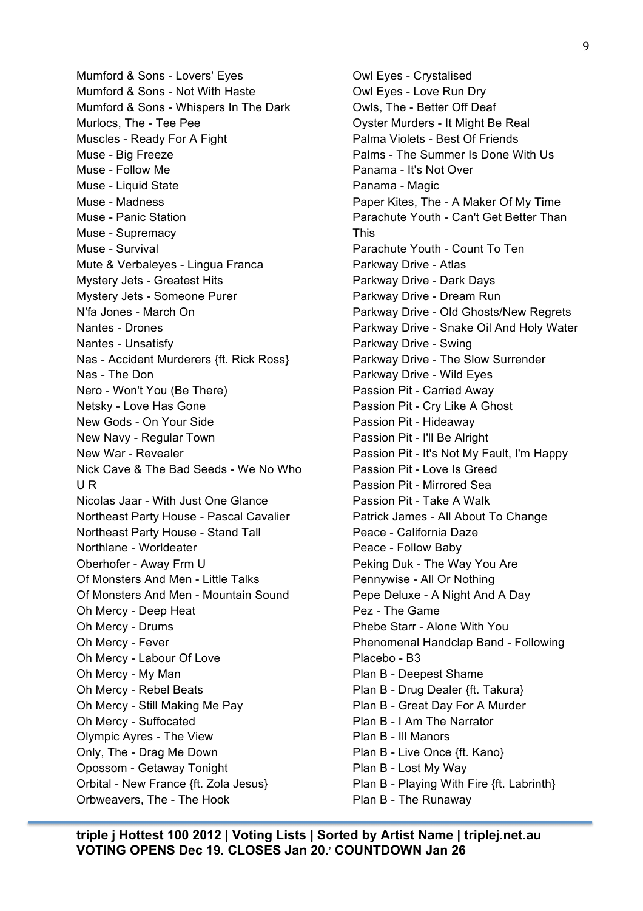Mumford & Sons - Lovers' Eyes Mumford & Sons - Not With Haste Mumford & Sons - Whispers In The Dark Murlocs, The - Tee Pee Muscles - Ready For A Fight Muse - Big Freeze Muse - Follow Me Muse - Liquid State Muse - Madness Muse - Panic Station Muse - Supremacy Muse - Survival Mute & Verbaleyes - Lingua Franca Mystery Jets - Greatest Hits Mystery Jets - Someone Purer N'fa Jones - March On Nantes - Drones Nantes - Unsatisfy Nas - Accident Murderers {ft. Rick Ross} Nas - The Don Nero - Won't You (Be There) Netsky - Love Has Gone New Gods - On Your Side New Navy - Regular Town New War - Revealer Nick Cave & The Bad Seeds - We No Who U R Nicolas Jaar - With Just One Glance Northeast Party House - Pascal Cavalier Northeast Party House - Stand Tall Northlane - Worldeater Oberhofer - Away Frm U Of Monsters And Men - Little Talks Of Monsters And Men - Mountain Sound Oh Mercy - Deep Heat Oh Mercy - Drums Oh Mercy - Fever Oh Mercy - Labour Of Love Oh Mercy - My Man Oh Mercy - Rebel Beats Oh Mercy - Still Making Me Pay Oh Mercy - Suffocated Olympic Ayres - The View Only, The - Drag Me Down Opossom - Getaway Tonight Orbital - New France {ft. Zola Jesus} Orbweavers, The - The Hook

Owl Eyes - Crystalised Owl Eyes - Love Run Dry Owls, The - Better Off Deaf Oyster Murders - It Might Be Real Palma Violets - Best Of Friends Palms - The Summer Is Done With Us Panama - It's Not Over Panama - Magic Paper Kites, The - A Maker Of My Time Parachute Youth - Can't Get Better Than This Parachute Youth - Count To Ten Parkway Drive - Atlas Parkway Drive - Dark Days Parkway Drive - Dream Run Parkway Drive - Old Ghosts/New Regrets Parkway Drive - Snake Oil And Holy Water Parkway Drive - Swing Parkway Drive - The Slow Surrender Parkway Drive - Wild Eyes Passion Pit - Carried Away Passion Pit - Cry Like A Ghost Passion Pit - Hideaway Passion Pit - I'll Be Alright Passion Pit - It's Not My Fault, I'm Happy Passion Pit - Love Is Greed Passion Pit - Mirrored Sea Passion Pit - Take A Walk Patrick James - All About To Change Peace - California Daze Peace - Follow Baby Peking Duk - The Way You Are Pennywise - All Or Nothing Pepe Deluxe - A Night And A Day Pez - The Game Phebe Starr - Alone With You Phenomenal Handclap Band - Following Placebo - B3 Plan B - Deepest Shame Plan B - Drug Dealer {ft. Takura} Plan B - Great Day For A Murder Plan B - I Am The Narrator Plan B - Ill Manors Plan B - Live Once {ft. Kano} Plan B - Lost My Way Plan B - Playing With Fire {ft. Labrinth} Plan B - The Runaway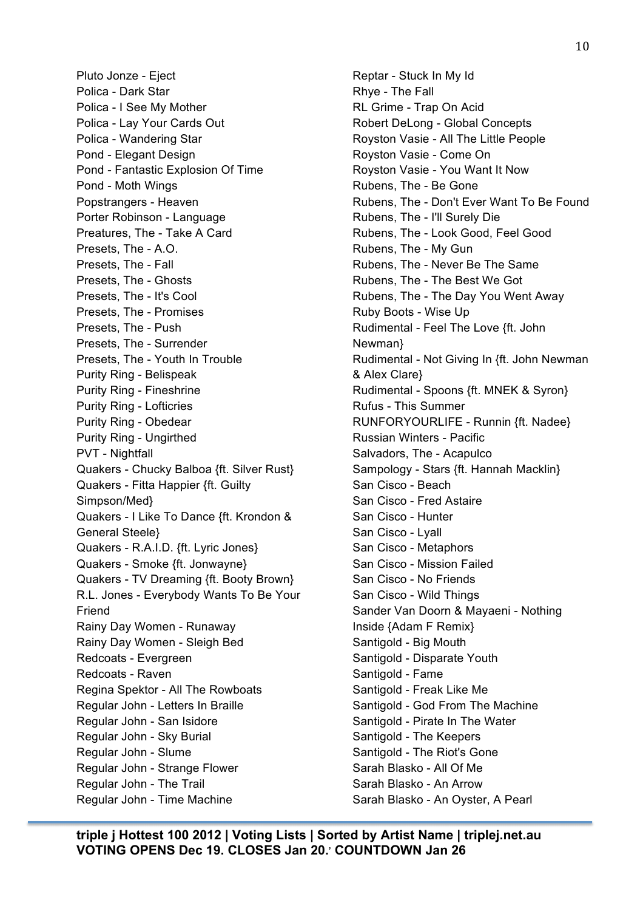Pluto Jonze - Eject Polica - Dark Star Polica - I See My Mother Polica - Lay Your Cards Out Polica - Wandering Star Pond - Elegant Design Pond - Fantastic Explosion Of Time Pond - Moth Wings Popstrangers - Heaven Porter Robinson - Language Preatures, The - Take A Card Presets, The - A.O. Presets, The - Fall Presets, The - Ghosts Presets, The - It's Cool Presets, The - Promises Presets, The - Push Presets, The - Surrender Presets, The - Youth In Trouble Purity Ring - Belispeak Purity Ring - Fineshrine Purity Ring - Lofticries Purity Ring - Obedear Purity Ring - Ungirthed PVT - Nightfall Quakers - Chucky Balboa {ft. Silver Rust} Quakers - Fitta Happier {ft. Guilty Simpson/Med} Quakers - I Like To Dance {ft. Krondon & General Steele} Quakers - R.A.I.D. {ft. Lyric Jones} Quakers - Smoke {ft. Jonwayne} Quakers - TV Dreaming {ft. Booty Brown} R.L. Jones - Everybody Wants To Be Your Friend Rainy Day Women - Runaway Rainy Day Women - Sleigh Bed Redcoats - Evergreen Redcoats - Raven Regina Spektor - All The Rowboats Regular John - Letters In Braille Regular John - San Isidore Regular John - Sky Burial Regular John - Slume Regular John - Strange Flower Regular John - The Trail Regular John - Time Machine

Reptar - Stuck In My Id Rhye - The Fall RL Grime - Trap On Acid Robert DeLong - Global Concepts Royston Vasie - All The Little People Royston Vasie - Come On Royston Vasie - You Want It Now Rubens, The - Be Gone Rubens, The - Don't Ever Want To Be Found Rubens, The - I'll Surely Die Rubens, The - Look Good, Feel Good Rubens, The - My Gun Rubens, The - Never Be The Same Rubens, The - The Best We Got Rubens, The - The Day You Went Away Ruby Boots - Wise Up Rudimental - Feel The Love {ft. John Newman} Rudimental - Not Giving In {ft. John Newman & Alex Clare} Rudimental - Spoons {ft. MNEK & Syron} Rufus - This Summer RUNFORYOURLIFE - Runnin {ft. Nadee} Russian Winters - Pacific Salvadors, The - Acapulco Sampology - Stars {ft. Hannah Macklin} San Cisco - Beach San Cisco - Fred Astaire San Cisco - Hunter San Cisco - Lyall San Cisco - Metaphors San Cisco - Mission Failed San Cisco - No Friends San Cisco - Wild Things Sander Van Doorn & Mayaeni - Nothing Inside {Adam F Remix} Santigold - Big Mouth Santigold - Disparate Youth Santigold - Fame Santigold - Freak Like Me Santigold - God From The Machine Santigold - Pirate In The Water Santigold - The Keepers Santigold - The Riot's Gone Sarah Blasko - All Of Me Sarah Blasko - An Arrow Sarah Blasko - An Oyster, A Pearl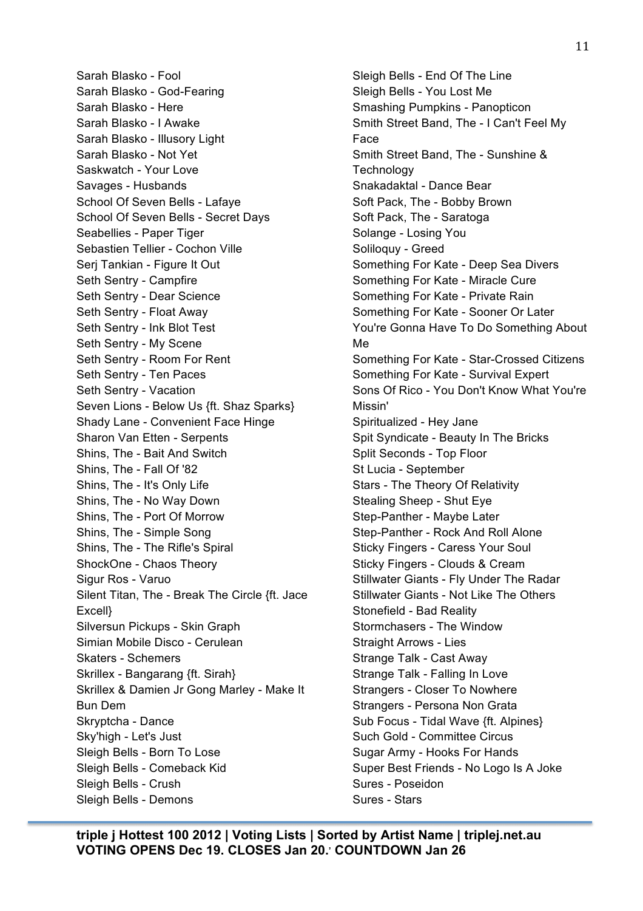Sarah Blasko - Fool Sarah Blasko - God-Fearing Sarah Blasko - Here Sarah Blasko - I Awake Sarah Blasko - Illusory Light Sarah Blasko - Not Yet Saskwatch - Your Love Savages - Husbands School Of Seven Bells - Lafaye School Of Seven Bells - Secret Days Seabellies - Paper Tiger Sebastien Tellier - Cochon Ville Serj Tankian - Figure It Out Seth Sentry - Campfire Seth Sentry - Dear Science Seth Sentry - Float Away Seth Sentry - Ink Blot Test Seth Sentry - My Scene Seth Sentry - Room For Rent Seth Sentry - Ten Paces Seth Sentry - Vacation Seven Lions - Below Us {ft. Shaz Sparks} Shady Lane - Convenient Face Hinge Sharon Van Etten - Serpents Shins, The - Bait And Switch Shins, The - Fall Of '82 Shins, The - It's Only Life Shins, The - No Way Down Shins, The - Port Of Morrow Shins, The - Simple Song Shins, The - The Rifle's Spiral ShockOne - Chaos Theory Sigur Ros - Varuo Silent Titan, The - Break The Circle {ft. Jace Excell} Silversun Pickups - Skin Graph Simian Mobile Disco - Cerulean Skaters - Schemers Skrillex - Bangarang {ft. Sirah} Skrillex & Damien Jr Gong Marley - Make It Bun Dem Skryptcha - Dance Sky'high - Let's Just Sleigh Bells - Born To Lose Sleigh Bells - Comeback Kid Sleigh Bells - Crush Sleigh Bells - Demons

Sleigh Bells - End Of The Line Sleigh Bells - You Lost Me Smashing Pumpkins - Panopticon Smith Street Band, The - I Can't Feel My Face Smith Street Band, The - Sunshine & **Technology** Snakadaktal - Dance Bear Soft Pack, The - Bobby Brown Soft Pack, The - Saratoga Solange - Losing You Soliloquy - Greed Something For Kate - Deep Sea Divers Something For Kate - Miracle Cure Something For Kate - Private Rain Something For Kate - Sooner Or Later You're Gonna Have To Do Something About Me Something For Kate - Star-Crossed Citizens Something For Kate - Survival Expert Sons Of Rico - You Don't Know What You're Missin' Spiritualized - Hey Jane Spit Syndicate - Beauty In The Bricks Split Seconds - Top Floor St Lucia - September Stars - The Theory Of Relativity Stealing Sheep - Shut Eye Step-Panther - Maybe Later Step-Panther - Rock And Roll Alone Sticky Fingers - Caress Your Soul Sticky Fingers - Clouds & Cream Stillwater Giants - Fly Under The Radar Stillwater Giants - Not Like The Others Stonefield - Bad Reality Stormchasers - The Window Straight Arrows - Lies Strange Talk - Cast Away Strange Talk - Falling In Love Strangers - Closer To Nowhere Strangers - Persona Non Grata Sub Focus - Tidal Wave {ft. Alpines} Such Gold - Committee Circus Sugar Army - Hooks For Hands Super Best Friends - No Logo Is A Joke Sures - Poseidon Sures - Stars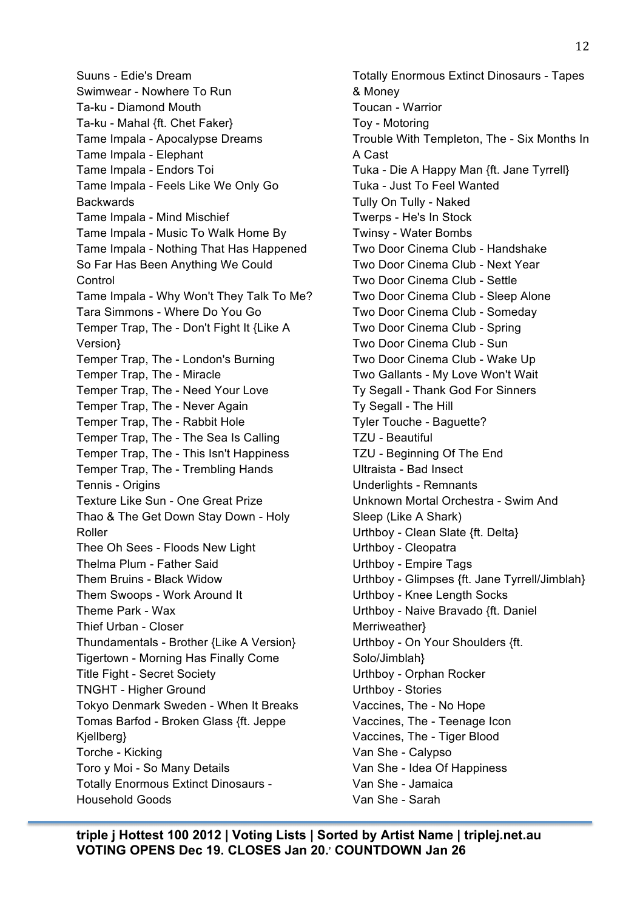Suuns - Edie's Dream Swimwear - Nowhere To Run Ta-ku - Diamond Mouth Ta-ku - Mahal {ft. Chet Faker} Tame Impala - Apocalypse Dreams Tame Impala - Elephant Tame Impala - Endors Toi Tame Impala - Feels Like We Only Go **Backwards** Tame Impala - Mind Mischief Tame Impala - Music To Walk Home By Tame Impala - Nothing That Has Happened So Far Has Been Anything We Could **Control** Tame Impala - Why Won't They Talk To Me? Tara Simmons - Where Do You Go Temper Trap, The - Don't Fight It {Like A Version} Temper Trap, The - London's Burning Temper Trap, The - Miracle Temper Trap, The - Need Your Love Temper Trap, The - Never Again Temper Trap, The - Rabbit Hole Temper Trap, The - The Sea Is Calling Temper Trap, The - This Isn't Happiness Temper Trap, The - Trembling Hands Tennis - Origins Texture Like Sun - One Great Prize Thao & The Get Down Stay Down - Holy Roller Thee Oh Sees - Floods New Light Thelma Plum - Father Said Them Bruins - Black Widow Them Swoops - Work Around It Theme Park - Wax Thief Urban - Closer Thundamentals - Brother {Like A Version} Tigertown - Morning Has Finally Come Title Fight - Secret Society TNGHT - Higher Ground Tokyo Denmark Sweden - When It Breaks Tomas Barfod - Broken Glass {ft. Jeppe Kjellberg} Torche - Kicking Toro y Moi - So Many Details Totally Enormous Extinct Dinosaurs - Household Goods

Totally Enormous Extinct Dinosaurs - Tapes & Money Toucan - Warrior Toy - Motoring Trouble With Templeton, The - Six Months In A Cast Tuka - Die A Happy Man {ft. Jane Tyrrell} Tuka - Just To Feel Wanted Tully On Tully - Naked Twerps - He's In Stock Twinsy - Water Bombs Two Door Cinema Club - Handshake Two Door Cinema Club - Next Year Two Door Cinema Club - Settle Two Door Cinema Club - Sleep Alone Two Door Cinema Club - Someday Two Door Cinema Club - Spring Two Door Cinema Club - Sun Two Door Cinema Club - Wake Up Two Gallants - My Love Won't Wait Ty Segall - Thank God For Sinners Ty Segall - The Hill Tyler Touche - Baguette? TZU - Beautiful TZU - Beginning Of The End Ultraista - Bad Insect Underlights - Remnants Unknown Mortal Orchestra - Swim And Sleep (Like A Shark) Urthboy - Clean Slate {ft. Delta} Urthboy - Cleopatra Urthboy - Empire Tags Urthboy - Glimpses {ft. Jane Tyrrell/Jimblah} Urthboy - Knee Length Socks Urthboy - Naive Bravado {ft. Daniel Merriweather} Urthboy - On Your Shoulders {ft. Solo/Jimblah} Urthboy - Orphan Rocker Urthboy - Stories Vaccines, The - No Hope Vaccines, The - Teenage Icon Vaccines, The - Tiger Blood Van She - Calypso Van She - Idea Of Happiness Van She - Jamaica Van She - Sarah